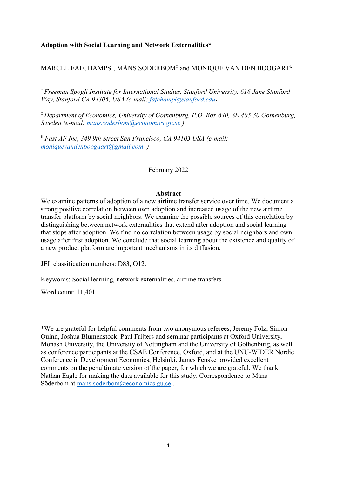# **Adoption with Social Learning and Network Externalities\***

# MARCEL FAFCHAMPS $^\dagger$ , MÅNS SÖDERBOM $^\ddagger$  and MONIQUE VAN DEN BOOGART $^\ddagger$

† *Freeman Spogli Institute for International Studies, Stanford University, 616 Jane Stanford Way, Stanford CA 94305, USA (e-mail: [fafchamp@stanford.edu\)](mailto:fafchamp@stanford.edu)*

‡ *Department of Economics, University of Gothenburg, P.O. Box 640, SE 405 30 Gothenburg, Sweden (e-mail: [mans.soderbom@economics.gu.se](mailto:mans.soderbom@economics.gu.se) )*

£ *Fast AF Inc, 349 9th Street San Francisco, CA 94103 USA (e-mail: [moniquevandenboogaart@gmail.com](mailto:moniquevandenboogaart@gmail.com) )*

### February 2022

### **Abstract**

We examine patterns of adoption of a new airtime transfer service over time. We document a strong positive correlation between own adoption and increased usage of the new airtime transfer platform by social neighbors. We examine the possible sources of this correlation by distinguishing between network externalities that extend after adoption and social learning that stops after adoption. We find no correlation between usage by social neighbors and own usage after first adoption. We conclude that social learning about the existence and quality of a new product platform are important mechanisms in its diffusion.

JEL classification numbers: D83, O12.

Keywords: Social learning, network externalities, airtime transfers.

Word count: 11,401.

<sup>\*</sup>We are grateful for helpful comments from two anonymous referees, Jeremy Folz, Simon Quinn, Joshua Blumenstock, Paul Frijters and seminar participants at Oxford University, Monash University, the University of Nottingham and the University of Gothenburg, as well as conference participants at the CSAE Conference, Oxford, and at the UNU-WIDER Nordic Conference in Development Economics, Helsinki. James Fenske provided excellent comments on the penultimate version of the paper, for which we are grateful. We thank Nathan Eagle for making the data available for this study. Correspondence to Måns Söderbom at [mans.soderbom@economics.gu.se](mailto:mans.soderbom@economics.gu.se).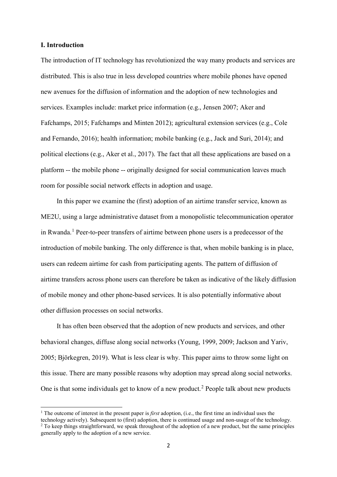### **I. Introduction**

 $\overline{a}$ 

The introduction of IT technology has revolutionized the way many products and services are distributed. This is also true in less developed countries where mobile phones have opened new avenues for the diffusion of information and the adoption of new technologies and services. Examples include: market price information (e.g., Jensen 2007; Aker and Fafchamps, 2015; Fafchamps and Minten 2012); agricultural extension services (e.g., Cole and Fernando, 2016); health information; mobile banking (e.g., Jack and Suri, 2014); and political elections (e.g., Aker et al., 2017). The fact that all these applications are based on a platform -- the mobile phone -- originally designed for social communication leaves much room for possible social network effects in adoption and usage.

In this paper we examine the (first) adoption of an airtime transfer service, known as ME2U, using a large administrative dataset from a monopolistic telecommunication operator in Rwanda.<sup>[1](#page-1-0)</sup> Peer-to-peer transfers of airtime between phone users is a predecessor of the introduction of mobile banking. The only difference is that, when mobile banking is in place, users can redeem airtime for cash from participating agents. The pattern of diffusion of airtime transfers across phone users can therefore be taken as indicative of the likely diffusion of mobile money and other phone-based services. It is also potentially informative about other diffusion processes on social networks.

It has often been observed that the adoption of new products and services, and other behavioral changes, diffuse along social networks (Young, 1999, 2009; Jackson and Yariv, 2005; Björkegren, 2019). What is less clear is why. This paper aims to throw some light on this issue. There are many possible reasons why adoption may spread along social networks. One is that some individuals get to know of a new product.<sup>[2](#page-1-1)</sup> People talk about new products

<span id="page-1-1"></span><span id="page-1-0"></span><sup>1</sup> The outcome of interest in the present paper is *first* adoption, (i.e., the first time an individual uses the technology actively). Subsequent to (first) adoption, there is continued usage and non-usage of the technology. <sup>2</sup> To keep things straightforward, we speak throughout of the adoption of a new product, but the same principles generally apply to the adoption of a new service.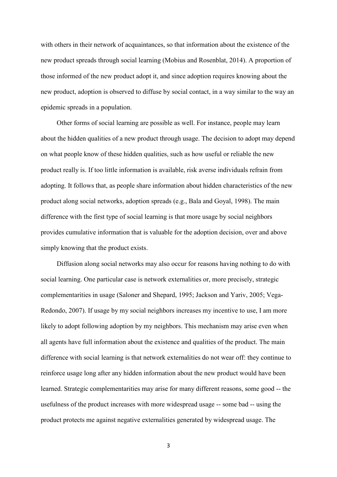with others in their network of acquaintances, so that information about the existence of the new product spreads through social learning (Mobius and Rosenblat, 2014). A proportion of those informed of the new product adopt it, and since adoption requires knowing about the new product, adoption is observed to diffuse by social contact, in a way similar to the way an epidemic spreads in a population.

Other forms of social learning are possible as well. For instance, people may learn about the hidden qualities of a new product through usage. The decision to adopt may depend on what people know of these hidden qualities, such as how useful or reliable the new product really is. If too little information is available, risk averse individuals refrain from adopting. It follows that, as people share information about hidden characteristics of the new product along social networks, adoption spreads (e.g., Bala and Goyal, 1998). The main difference with the first type of social learning is that more usage by social neighbors provides cumulative information that is valuable for the adoption decision, over and above simply knowing that the product exists.

Diffusion along social networks may also occur for reasons having nothing to do with social learning. One particular case is network externalities or, more precisely, strategic complementarities in usage (Saloner and Shepard, 1995; Jackson and Yariv, 2005; Vega-Redondo, 2007). If usage by my social neighbors increases my incentive to use, I am more likely to adopt following adoption by my neighbors. This mechanism may arise even when all agents have full information about the existence and qualities of the product. The main difference with social learning is that network externalities do not wear off: they continue to reinforce usage long after any hidden information about the new product would have been learned. Strategic complementarities may arise for many different reasons, some good -- the usefulness of the product increases with more widespread usage -- some bad -- using the product protects me against negative externalities generated by widespread usage. The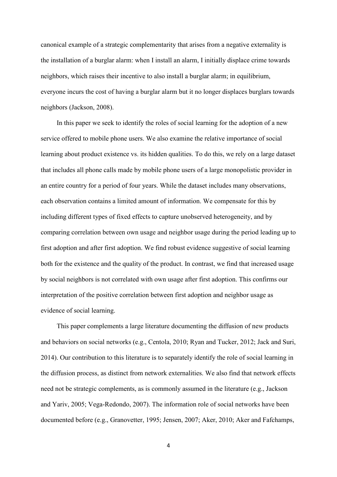canonical example of a strategic complementarity that arises from a negative externality is the installation of a burglar alarm: when I install an alarm, I initially displace crime towards neighbors, which raises their incentive to also install a burglar alarm; in equilibrium, everyone incurs the cost of having a burglar alarm but it no longer displaces burglars towards neighbors (Jackson, 2008).

In this paper we seek to identify the roles of social learning for the adoption of a new service offered to mobile phone users. We also examine the relative importance of social learning about product existence vs. its hidden qualities. To do this, we rely on a large dataset that includes all phone calls made by mobile phone users of a large monopolistic provider in an entire country for a period of four years. While the dataset includes many observations, each observation contains a limited amount of information. We compensate for this by including different types of fixed effects to capture unobserved heterogeneity, and by comparing correlation between own usage and neighbor usage during the period leading up to first adoption and after first adoption. We find robust evidence suggestive of social learning both for the existence and the quality of the product. In contrast, we find that increased usage by social neighbors is not correlated with own usage after first adoption. This confirms our interpretation of the positive correlation between first adoption and neighbor usage as evidence of social learning.

This paper complements a large literature documenting the diffusion of new products and behaviors on social networks (e.g., Centola, 2010; Ryan and Tucker, 2012; Jack and Suri, 2014). Our contribution to this literature is to separately identify the role of social learning in the diffusion process, as distinct from network externalities. We also find that network effects need not be strategic complements, as is commonly assumed in the literature (e.g., Jackson and Yariv, 2005; Vega-Redondo, 2007). The information role of social networks have been documented before (e.g., Granovetter, 1995; Jensen, 2007; Aker, 2010; Aker and Fafchamps,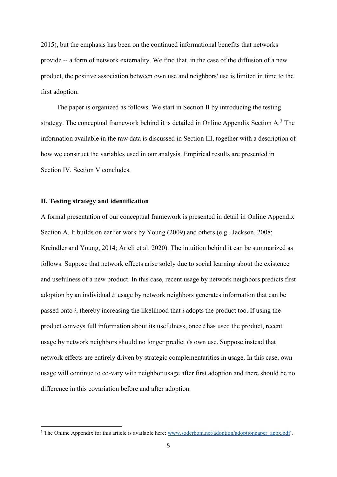2015), but the emphasis has been on the continued informational benefits that networks provide -- a form of network externality. We find that, in the case of the diffusion of a new product, the positive association between own use and neighbors' use is limited in time to the first adoption.

The paper is organized as follows. We start in Section II by introducing the testing strategy. The conceptual framework behind it is detailed in Online Appendix Section A.<sup>[3](#page-4-0)</sup> The information available in the raw data is discussed in Section III, together with a description of how we construct the variables used in our analysis. Empirical results are presented in Section IV. Section V concludes.

## **II. Testing strategy and identification**

 $\overline{a}$ 

A formal presentation of our conceptual framework is presented in detail in Online Appendix Section A. It builds on earlier work by Young (2009) and others (e.g., Jackson, 2008; Kreindler and Young, 2014; Arieli et al. 2020). The intuition behind it can be summarized as follows. Suppose that network effects arise solely due to social learning about the existence and usefulness of a new product. In this case, recent usage by network neighbors predicts first adoption by an individual *i*: usage by network neighbors generates information that can be passed onto *i*, thereby increasing the likelihood that *i* adopts the product too. If using the product conveys full information about its usefulness, once *i* has used the product, recent usage by network neighbors should no longer predict *i*'s own use. Suppose instead that network effects are entirely driven by strategic complementarities in usage. In this case, own usage will continue to co-vary with neighbor usage after first adoption and there should be no difference in this covariation before and after adoption.

<span id="page-4-0"></span><sup>&</sup>lt;sup>3</sup> The Online Appendix for this article is available here: [www.soderbom.net/adoption/adoptionpaper\\_appx.pdf](http://www.soderbom.net/adoption/adoptionpaper_appx.pdf).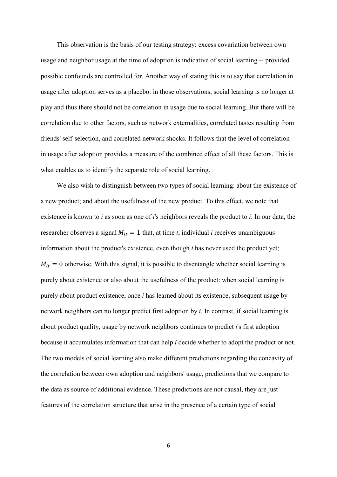This observation is the basis of our testing strategy: excess covariation between own usage and neighbor usage at the time of adoption is indicative of social learning -- provided possible confounds are controlled for. Another way of stating this is to say that correlation in usage after adoption serves as a placebo: in those observations, social learning is no longer at play and thus there should not be correlation in usage due to social learning. But there will be correlation due to other factors, such as network externalities, correlated tastes resulting from friends' self-selection, and correlated network shocks. It follows that the level of correlation in usage after adoption provides a measure of the combined effect of all these factors. This is what enables us to identify the separate role of social learning.

We also wish to distinguish between two types of social learning: about the existence of a new product; and about the usefulness of the new product. To this effect, we note that existence is known to *i* as soon as one of *i*'s neighbors reveals the product to *i*. In our data, the researcher observes a signal  $M_{it} = 1$  that, at time *t*, individual *i* receives unambiguous information about the product's existence, even though *i* has never used the product yet;  $M_{it} = 0$  otherwise. With this signal, it is possible to disentangle whether social learning is purely about existence or also about the usefulness of the product: when social learning is purely about product existence, once *i* has learned about its existence, subsequent usage by network neighbors can no longer predict first adoption by *i*. In contrast, if social learning is about product quality, usage by network neighbors continues to predict *i*'s first adoption because it accumulates information that can help *i* decide whether to adopt the product or not. The two models of social learning also make different predictions regarding the concavity of the correlation between own adoption and neighbors' usage, predictions that we compare to the data as source of additional evidence. These predictions are not causal, they are just features of the correlation structure that arise in the presence of a certain type of social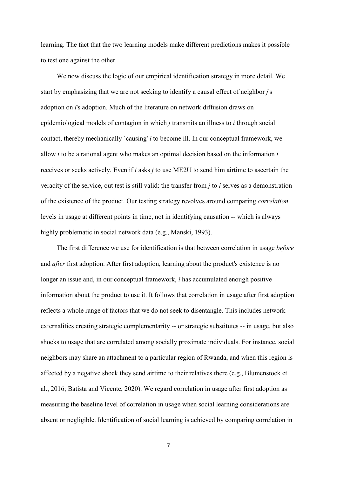learning. The fact that the two learning models make different predictions makes it possible to test one against the other.

We now discuss the logic of our empirical identification strategy in more detail. We start by emphasizing that we are not seeking to identify a causal effect of neighbor *j*'s adoption on *i*'s adoption. Much of the literature on network diffusion draws on epidemiological models of contagion in which *j* transmits an illness to *i* through social contact, thereby mechanically `causing' *i* to become ill. In our conceptual framework, we allow *i* to be a rational agent who makes an optimal decision based on the information *i* receives or seeks actively. Even if *i* asks *j* to use ME2U to send him airtime to ascertain the veracity of the service, out test is still valid: the transfer from *j* to *i* serves as a demonstration of the existence of the product. Our testing strategy revolves around comparing *correlation* levels in usage at different points in time, not in identifying causation -- which is always highly problematic in social network data (e.g., Manski, 1993).

The first difference we use for identification is that between correlation in usage *before* and *after* first adoption. After first adoption, learning about the product's existence is no longer an issue and, in our conceptual framework, *i* has accumulated enough positive information about the product to use it. It follows that correlation in usage after first adoption reflects a whole range of factors that we do not seek to disentangle. This includes network externalities creating strategic complementarity -- or strategic substitutes -- in usage, but also shocks to usage that are correlated among socially proximate individuals. For instance, social neighbors may share an attachment to a particular region of Rwanda, and when this region is affected by a negative shock they send airtime to their relatives there (e.g., Blumenstock et al., 2016; Batista and Vicente, 2020). We regard correlation in usage after first adoption as measuring the baseline level of correlation in usage when social learning considerations are absent or negligible. Identification of social learning is achieved by comparing correlation in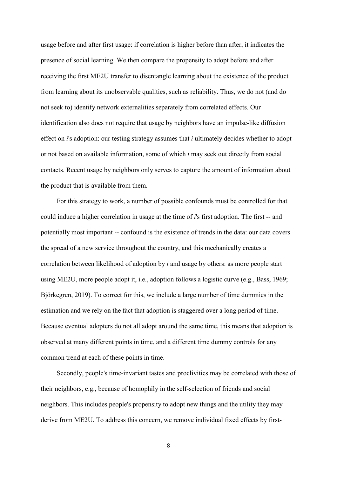usage before and after first usage: if correlation is higher before than after, it indicates the presence of social learning. We then compare the propensity to adopt before and after receiving the first ME2U transfer to disentangle learning about the existence of the product from learning about its unobservable qualities, such as reliability. Thus, we do not (and do not seek to) identify network externalities separately from correlated effects. Our identification also does not require that usage by neighbors have an impulse-like diffusion effect on *i*'s adoption: our testing strategy assumes that *i* ultimately decides whether to adopt or not based on available information, some of which *i* may seek out directly from social contacts. Recent usage by neighbors only serves to capture the amount of information about the product that is available from them.

For this strategy to work, a number of possible confounds must be controlled for that could induce a higher correlation in usage at the time of *i*'s first adoption. The first -- and potentially most important -- confound is the existence of trends in the data: our data covers the spread of a new service throughout the country, and this mechanically creates a correlation between likelihood of adoption by *i* and usage by others: as more people start using ME2U, more people adopt it, i.e., adoption follows a logistic curve (e.g., Bass, 1969; Björkegren, 2019). To correct for this, we include a large number of time dummies in the estimation and we rely on the fact that adoption is staggered over a long period of time. Because eventual adopters do not all adopt around the same time, this means that adoption is observed at many different points in time, and a different time dummy controls for any common trend at each of these points in time.

Secondly, people's time-invariant tastes and proclivities may be correlated with those of their neighbors, e.g., because of homophily in the self-selection of friends and social neighbors. This includes people's propensity to adopt new things and the utility they may derive from ME2U. To address this concern, we remove individual fixed effects by first-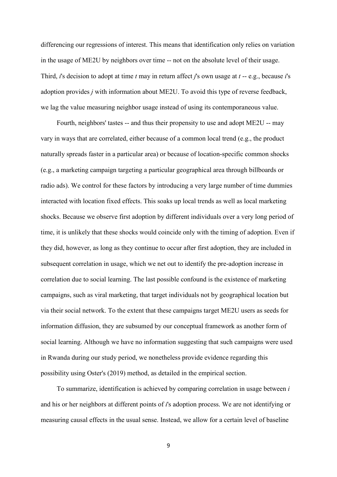differencing our regressions of interest. This means that identification only relies on variation in the usage of ME2U by neighbors over time -- not on the absolute level of their usage. Third, *i*'s decision to adopt at time *t* may in return affect *j*'s own usage at *t* -- e.g., because *i*'s adoption provides *j* with information about ME2U. To avoid this type of reverse feedback, we lag the value measuring neighbor usage instead of using its contemporaneous value.

Fourth, neighbors' tastes -- and thus their propensity to use and adopt ME2U -- may vary in ways that are correlated, either because of a common local trend (e.g., the product naturally spreads faster in a particular area) or because of location-specific common shocks (e.g., a marketing campaign targeting a particular geographical area through billboards or radio ads). We control for these factors by introducing a very large number of time dummies interacted with location fixed effects. This soaks up local trends as well as local marketing shocks. Because we observe first adoption by different individuals over a very long period of time, it is unlikely that these shocks would coincide only with the timing of adoption. Even if they did, however, as long as they continue to occur after first adoption, they are included in subsequent correlation in usage, which we net out to identify the pre-adoption increase in correlation due to social learning. The last possible confound is the existence of marketing campaigns, such as viral marketing, that target individuals not by geographical location but via their social network. To the extent that these campaigns target ME2U users as seeds for information diffusion, they are subsumed by our conceptual framework as another form of social learning. Although we have no information suggesting that such campaigns were used in Rwanda during our study period, we nonetheless provide evidence regarding this possibility using Oster's (2019) method, as detailed in the empirical section.

To summarize, identification is achieved by comparing correlation in usage between *i* and his or her neighbors at different points of *i*'s adoption process. We are not identifying or measuring causal effects in the usual sense. Instead, we allow for a certain level of baseline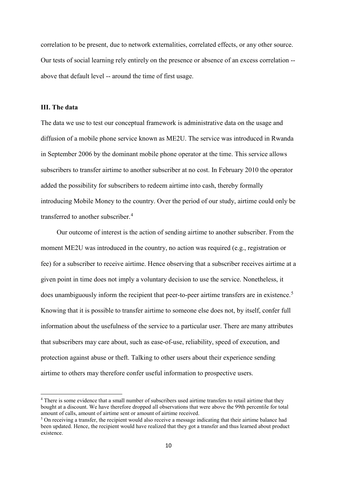correlation to be present, due to network externalities, correlated effects, or any other source. Our tests of social learning rely entirely on the presence or absence of an excess correlation - above that default level -- around the time of first usage.

### **III. The data**

**.** 

The data we use to test our conceptual framework is administrative data on the usage and diffusion of a mobile phone service known as ME2U. The service was introduced in Rwanda in September 2006 by the dominant mobile phone operator at the time. This service allows subscribers to transfer airtime to another subscriber at no cost. In February 2010 the operator added the possibility for subscribers to redeem airtime into cash, thereby formally introducing Mobile Money to the country. Over the period of our study, airtime could only be transferred to another subscriber.<sup>[4](#page-9-0)</sup>

Our outcome of interest is the action of sending airtime to another subscriber. From the moment ME2U was introduced in the country, no action was required (e.g., registration or fee) for a subscriber to receive airtime. Hence observing that a subscriber receives airtime at a given point in time does not imply a voluntary decision to use the service. Nonetheless, it does unambiguously inform the recipient that peer-to-peer airtime transfers are in existence.<sup>[5](#page-9-1)</sup> Knowing that it is possible to transfer airtime to someone else does not, by itself, confer full information about the usefulness of the service to a particular user. There are many attributes that subscribers may care about, such as ease-of-use, reliability, speed of execution, and protection against abuse or theft. Talking to other users about their experience sending airtime to others may therefore confer useful information to prospective users.

<span id="page-9-0"></span><sup>&</sup>lt;sup>4</sup> There is some evidence that a small number of subscribers used airtime transfers to retail airtime that they bought at a discount. We have therefore dropped all observations that were above the 99th percentile for total amount of calls, amount of airtime sent or amount of airtime received.

<span id="page-9-1"></span> $<sup>5</sup>$  On receiving a transfer, the recipient would also receive a message indicating that their airtime balance had</sup> been updated. Hence, the recipient would have realized that they got a transfer and thus learned about product existence.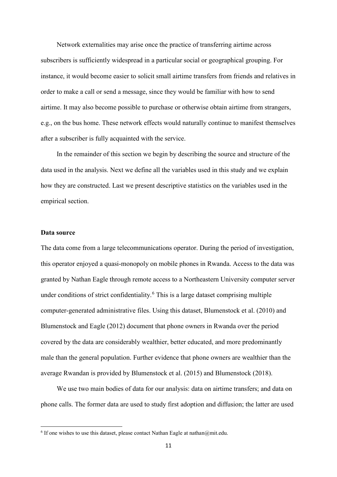Network externalities may arise once the practice of transferring airtime across subscribers is sufficiently widespread in a particular social or geographical grouping. For instance, it would become easier to solicit small airtime transfers from friends and relatives in order to make a call or send a message, since they would be familiar with how to send airtime. It may also become possible to purchase or otherwise obtain airtime from strangers, e.g., on the bus home. These network effects would naturally continue to manifest themselves after a subscriber is fully acquainted with the service.

In the remainder of this section we begin by describing the source and structure of the data used in the analysis. Next we define all the variables used in this study and we explain how they are constructed. Last we present descriptive statistics on the variables used in the empirical section.

## **Data source**

 $\overline{a}$ 

The data come from a large telecommunications operator. During the period of investigation, this operator enjoyed a quasi-monopoly on mobile phones in Rwanda. Access to the data was granted by Nathan Eagle through remote access to a Northeastern University computer server under conditions of strict confidentiality.<sup>[6](#page-10-0)</sup> This is a large dataset comprising multiple computer-generated administrative files. Using this dataset, Blumenstock et al. (2010) and Blumenstock and Eagle (2012) document that phone owners in Rwanda over the period covered by the data are considerably wealthier, better educated, and more predominantly male than the general population. Further evidence that phone owners are wealthier than the average Rwandan is provided by Blumenstock et al. (2015) and Blumenstock (2018).

We use two main bodies of data for our analysis: data on airtime transfers; and data on phone calls. The former data are used to study first adoption and diffusion; the latter are used

<span id="page-10-0"></span> $6$  If one wishes to use this dataset, please contact Nathan Eagle at nathan $@$ mit.edu.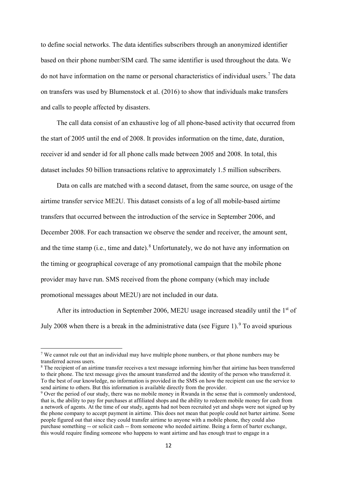to define social networks. The data identifies subscribers through an anonymized identifier based on their phone number/SIM card. The same identifier is used throughout the data. We do not have information on the name or personal characteristics of individual users.[7](#page-11-0) The data on transfers was used by Blumenstock et al. (2016) to show that individuals make transfers and calls to people affected by disasters.

The call data consist of an exhaustive log of all phone-based activity that occurred from the start of 2005 until the end of 2008. It provides information on the time, date, duration, receiver id and sender id for all phone calls made between 2005 and 2008. In total, this dataset includes 50 billion transactions relative to approximately 1.5 million subscribers.

Data on calls are matched with a second dataset, from the same source, on usage of the airtime transfer service ME2U. This dataset consists of a log of all mobile-based airtime transfers that occurred between the introduction of the service in September 2006, and December 2008. For each transaction we observe the sender and receiver, the amount sent, and the time stamp (i.e., time and date).<sup>[8](#page-11-1)</sup> Unfortunately, we do not have any information on the timing or geographical coverage of any promotional campaign that the mobile phone provider may have run. SMS received from the phone company (which may include promotional messages about ME2U) are not included in our data.

After its introduction in September 2006, ME2U usage increased steadily until the  $1<sup>st</sup>$  of July 2008 when there is a break in the administrative data (see Figure 1). <sup>[9](#page-11-2)</sup> To avoid spurious

<u>.</u>

<span id="page-11-0"></span><sup>7</sup> We cannot rule out that an individual may have multiple phone numbers, or that phone numbers may be transferred across users.

<span id="page-11-1"></span><sup>&</sup>lt;sup>8</sup> The recipient of an airtime transfer receives a text message informing him/her that airtime has been transferred to their phone. The text message gives the amount transferred and the identity of the person who transferred it. To the best of our knowledge, no information is provided in the SMS on how the recipient can use the service to send airtime to others. But this information is available directly from the provider.

<span id="page-11-2"></span><sup>&</sup>lt;sup>9</sup> Over the period of our study, there was no mobile money in Rwanda in the sense that is commonly understood, that is, the ability to pay for purchases at affiliated shops and the ability to redeem mobile money for cash from a network of agents. At the time of our study, agents had not been recruited yet and shops were not signed up by the phone company to accept payment in airtime. This does not mean that people could not barter airtime. Some people figured out that since they could transfer airtime to anyone with a mobile phone, they could also purchase something -- or solicit cash -- from someone who needed airtime. Being a form of barter exchange, this would require finding someone who happens to want airtime and has enough trust to engage in a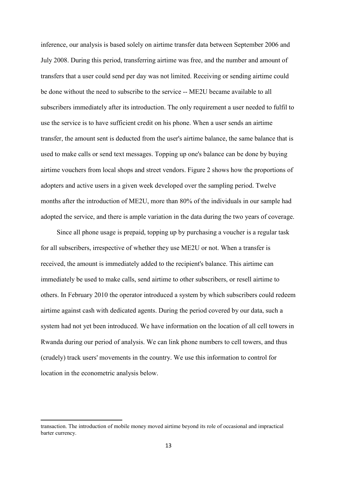inference, our analysis is based solely on airtime transfer data between September 2006 and July 2008. During this period, transferring airtime was free, and the number and amount of transfers that a user could send per day was not limited. Receiving or sending airtime could be done without the need to subscribe to the service -- ME2U became available to all subscribers immediately after its introduction. The only requirement a user needed to fulfil to use the service is to have sufficient credit on his phone. When a user sends an airtime transfer, the amount sent is deducted from the user's airtime balance, the same balance that is used to make calls or send text messages. Topping up one's balance can be done by buying airtime vouchers from local shops and street vendors. Figure 2 shows how the proportions of adopters and active users in a given week developed over the sampling period. Twelve months after the introduction of ME2U, more than 80% of the individuals in our sample had adopted the service, and there is ample variation in the data during the two years of coverage.

Since all phone usage is prepaid, topping up by purchasing a voucher is a regular task for all subscribers, irrespective of whether they use ME2U or not. When a transfer is received, the amount is immediately added to the recipient's balance. This airtime can immediately be used to make calls, send airtime to other subscribers, or resell airtime to others. In February 2010 the operator introduced a system by which subscribers could redeem airtime against cash with dedicated agents. During the period covered by our data, such a system had not yet been introduced. We have information on the location of all cell towers in Rwanda during our period of analysis. We can link phone numbers to cell towers, and thus (crudely) track users' movements in the country. We use this information to control for location in the econometric analysis below.

 $\overline{a}$ 

transaction. The introduction of mobile money moved airtime beyond its role of occasional and impractical barter currency.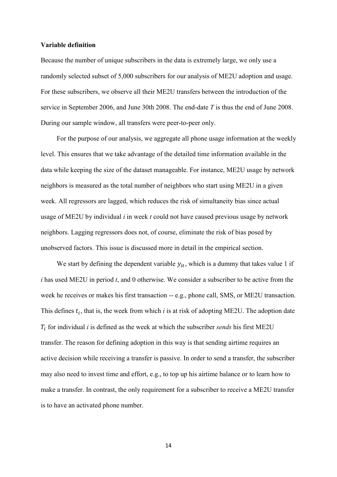#### **Variable definition**

Because the number of unique subscribers in the data is extremely large, we only use a randomly selected subset of 5,000 subscribers for our analysis of ME2U adoption and usage. For these subscribers, we observe all their ME2U transfers between the introduction of the service in September 2006, and June 30th 2008. The end-date *T* is thus the end of June 2008. During our sample window, all transfers were peer-to-peer only.

For the purpose of our analysis, we aggregate all phone usage information at the weekly level. This ensures that we take advantage of the detailed time information available in the data while keeping the size of the dataset manageable. For instance, ME2U usage by network neighbors is measured as the total number of neighbors who start using ME2U in a given week. All regressors are lagged, which reduces the risk of simultaneity bias since actual usage of ME2U by individual *i* in week *t* could not have caused previous usage by network neighbors. Lagging regressors does not, of course, eliminate the risk of bias posed by unobserved factors. This issue is discussed more in detail in the empirical section.

We start by defining the dependent variable  $y_{it}$ , which is a dummy that takes value 1 if *i* has used ME2U in period *t*, and 0 otherwise. We consider a subscriber to be active from the week he receives or makes his first transaction -- e.g., phone call, SMS, or ME2U transaction. This defines  $t_i$ , that is, the week from which  $i$  is at risk of adopting ME2U. The adoption date  $T_i$  for individual *i* is defined as the week at which the subscriber *sends* his first ME2U transfer. The reason for defining adoption in this way is that sending airtime requires an active decision while receiving a transfer is passive. In order to send a transfer, the subscriber may also need to invest time and effort, e.g., to top up his airtime balance or to learn how to make a transfer. In contrast, the only requirement for a subscriber to receive a ME2U transfer is to have an activated phone number.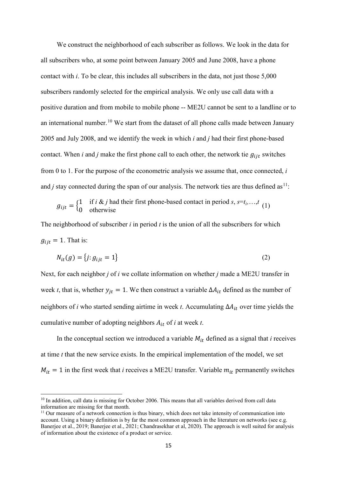We construct the neighborhood of each subscriber as follows. We look in the data for all subscribers who, at some point between January 2005 and June 2008, have a phone contact with *i*. To be clear, this includes all subscribers in the data, not just those 5,000 subscribers randomly selected for the empirical analysis. We only use call data with a positive duration and from mobile to mobile phone -- ME2U cannot be sent to a landline or to an international number.<sup>[10](#page-14-0)</sup> We start from the dataset of all phone calls made between January 2005 and July 2008, and we identify the week in which *i* and *j* had their first phone-based contact. When *i* and *j* make the first phone call to each other, the network tie  $g_{ijt}$  switches from 0 to 1. For the purpose of the econometric analysis we assume that, once connected, *i* and *j* stay connected during the span of our analysis. The network ties are thus defined as  $11$ :

$$
g_{ijt} = \begin{cases} 1 & \text{if } i \& j \text{ had their first phone-based contact in period } s, s = t_i, \dots, t \\ 0 & \text{otherwise} \end{cases} \tag{1}
$$

The neighborhood of subscriber *i* in period *t* is the union of all the subscribers for which  $g_{ijt} = 1$ . That is:

$$
N_{it}(g) = \{j: g_{ijt} = 1\}
$$
\n<sup>(2)</sup>

Next, for each neighbor *j* of *i* we collate information on whether *j* made a ME2U transfer in week *t*, that is, whether  $y_{it} = 1$ . We then construct a variable  $\Delta A_{it}$  defined as the number of neighbors of *i* who started sending airtime in week *t*. Accumulating  $\Delta A_{it}$  over time yields the cumulative number of adopting neighbors  $A_{it}$  of *i* at week *t*.

In the conceptual section we introduced a variable  $M_{it}$  defined as a signal that *i* receives at time *t* that the new service exists. In the empirical implementation of the model, we set  $M_{it} = 1$  in the first week that *i* receives a ME2U transfer. Variable  $m_{it}$  permanently switches

**.** 

<span id="page-14-0"></span> $10$  In addition, call data is missing for October 2006. This means that all variables derived from call data information are missing for that month.

<span id="page-14-1"></span><sup>&</sup>lt;sup>11</sup> Our measure of a network connection is thus binary, which does not take intensity of communication into account. Using a binary definition is by far the most common approach in the literature on networks (see e.g. Banerjee et al., 2019; Banerjee et al., 2021; Chandrasekhar et al, 2020). The approach is well suited for analysis of information about the existence of a product or service.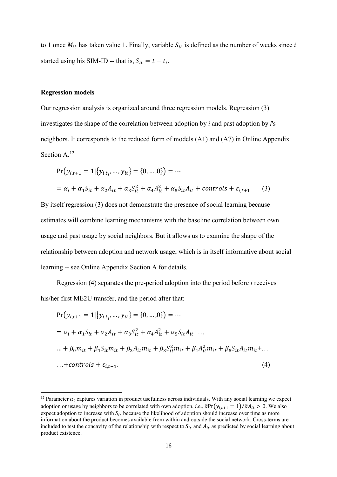to 1 once  $M_{it}$  has taken value 1. Finally, variable  $S_{it}$  is defined as the number of weeks since *i* started using his SIM-ID -- that is,  $S_{it} = t - t_i$ .

#### **Regression models**

 $\overline{a}$ 

Our regression analysis is organized around three regression models. Regression (3) investigates the shape of the correlation between adoption by *i* and past adoption by *i*'s neighbors. It corresponds to the reduced form of models (A1) and (A7) in Online Appendix Section A.<sup>[12](#page-15-0)</sup>

$$
Pr(y_{i,t+1} = 1 | \{y_{i,t_{i}}, \dots, y_{it}\} = \{0, \dots, 0\}) = \dots
$$
  
=  $\alpha_i + \alpha_1 S_{it} + \alpha_2 A_{it} + \alpha_3 S_{it}^2 + \alpha_4 A_{it}^2 + \alpha_5 S_{it} A_{it} + controls + \varepsilon_{i,t+1}$  (3)

By itself regression (3) does not demonstrate the presence of social learning because estimates will combine learning mechanisms with the baseline correlation between own usage and past usage by social neighbors. But it allows us to examine the shape of the relationship between adoption and network usage, which is in itself informative about social learning -- see Online Appendix Section A for details.

Regression (4) separates the pre-period adoption into the period before *i* receives his/her first ME2U transfer, and the period after that:

$$
Pr(y_{i,t+1} = 1 | \{y_{i,t_{i}}, ..., y_{it}\} = \{0, ..., 0\}) = ...
$$
  
\n
$$
= \alpha_i + \alpha_1 S_{it} + \alpha_2 A_{it} + \alpha_3 S_{it}^2 + \alpha_4 A_{it}^2 + \alpha_5 S_{it} A_{it} + ...
$$
  
\n
$$
... + \beta_0 m_{it} + \beta_1 S_{it} m_{it} + \beta_2 A_{it} m_{it} + \beta_3 S_{it}^2 m_{it} + \beta_4 A_{it}^2 m_{it} + \beta_5 S_{it} A_{it} m_{it} + ...
$$
  
\n...+*controls* +  $\varepsilon_{i,t+1}$ . (4)

<span id="page-15-0"></span><sup>&</sup>lt;sup>12</sup> Parameter  $\alpha_i$  captures variation in product usefulness across individuals. With any social learning we expect adoption or usage by neighbors to be correlated with own adoption, *i.e.*,  $\partial Pr(y_{i,t+1} = 1)/\partial A_{it} > 0$ . We also expect adoption to increase with  $S_{it}$  because the likelihood of adoption should increase over time as more information about the product becomes available from within and outside the social network. Cross-terms are included to test the concavity of the relationship with respect to  $S_{it}$  and  $A_{it}$  as predicted by social learning about product existence.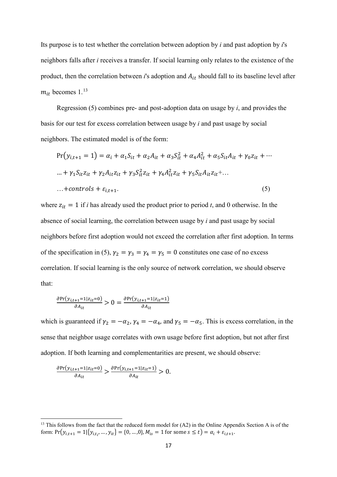Its purpose is to test whether the correlation between adoption by *i* and past adoption by *i*'s neighbors falls after *i* receives a transfer. If social learning only relates to the existence of the product, then the correlation between *i*'s adoption and  $A_{it}$  should fall to its baseline level after  $m_{it}$  becomes 1.<sup>[13](#page-16-0)</sup>

Regression (5) combines pre- and post-adoption data on usage by *i*, and provides the basis for our test for excess correlation between usage by *i* and past usage by social neighbors. The estimated model is of the form:

$$
Pr(y_{i,t+1} = 1) = \alpha_i + \alpha_1 S_{it} + \alpha_2 A_{it} + \alpha_3 S_{it}^2 + \alpha_4 A_{it}^2 + \alpha_5 S_{it} A_{it} + \gamma_0 z_{it} + \cdots
$$
  
\n... +  $\gamma_1 S_{it} z_{it} + \gamma_2 A_{it} z_{it} + \gamma_3 S_{it}^2 z_{it} + \gamma_4 A_{it}^2 z_{it} + \gamma_5 S_{it} A_{it} z_{it} + \cdots$   
\n... + controls +  $\varepsilon_{i,t+1}$ . (5)

where  $z_{it} = 1$  if *i* has already used the product prior to period *t*, and 0 otherwise. In the absence of social learning, the correlation between usage by *i* and past usage by social neighbors before first adoption would not exceed the correlation after first adoption. In terms of the specification in (5),  $\gamma_2 = \gamma_3 = \gamma_4 = \gamma_5 = 0$  constitutes one case of no excess correlation. If social learning is the only source of network correlation, we should observe that:

$$
\frac{\partial \Pr(y_{i,t+1}=1|z_{it}=0)}{\partial A_{it}} > 0 = \frac{\partial \Pr(y_{i,t+1}=1|z_{it}=1)}{\partial A_{it}}
$$

which is guaranteed if  $\gamma_2 = -\alpha_2$ ,  $\gamma_4 = -\alpha_4$ , and  $\gamma_5 = -\alpha_5$ . This is excess correlation, in the sense that neighbor usage correlates with own usage before first adoption, but not after first adoption. If both learning and complementarities are present, we should observe:

$$
\frac{\partial \Pr(y_{i,t+1}=1|z_{it}=0)}{\partial A_{it}} > \frac{\partial \Pr(y_{i,t+1}=1|z_{it}=1)}{\partial A_{it}} > 0.
$$

 $\overline{a}$ 

<span id="page-16-0"></span><sup>&</sup>lt;sup>13</sup> This follows from the fact that the reduced form model for  $(A2)$  in the Online Appendix Section A is of the form:  $Pr(y_{i,t+1} = 1 | \{y_{i,t_{i'}}, \ldots, y_{it}\} = \{0, \ldots, 0\}, M_{is} = 1$  for some  $s \le t$ ) =  $\alpha_i + \varepsilon_{i,t+1}$ .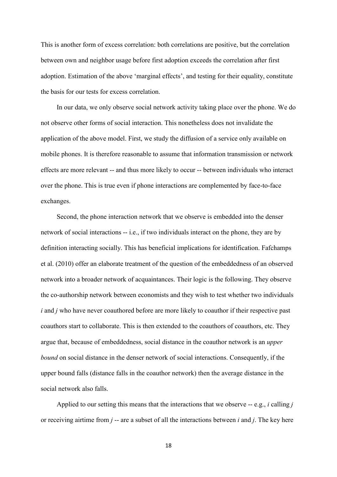This is another form of excess correlation: both correlations are positive, but the correlation between own and neighbor usage before first adoption exceeds the correlation after first adoption. Estimation of the above 'marginal effects', and testing for their equality, constitute the basis for our tests for excess correlation.

In our data, we only observe social network activity taking place over the phone. We do not observe other forms of social interaction. This nonetheless does not invalidate the application of the above model. First, we study the diffusion of a service only available on mobile phones. It is therefore reasonable to assume that information transmission or network effects are more relevant -- and thus more likely to occur -- between individuals who interact over the phone. This is true even if phone interactions are complemented by face-to-face exchanges.

Second, the phone interaction network that we observe is embedded into the denser network of social interactions -- i.e., if two individuals interact on the phone, they are by definition interacting socially. This has beneficial implications for identification. Fafchamps et al. (2010) offer an elaborate treatment of the question of the embeddedness of an observed network into a broader network of acquaintances. Their logic is the following. They observe the co-authorship network between economists and they wish to test whether two individuals *i* and *j* who have never coauthored before are more likely to coauthor if their respective past coauthors start to collaborate. This is then extended to the coauthors of coauthors, etc. They argue that, because of embeddedness, social distance in the coauthor network is an *upper bound* on social distance in the denser network of social interactions. Consequently, if the upper bound falls (distance falls in the coauthor network) then the average distance in the social network also falls.

Applied to our setting this means that the interactions that we observe -- e.g., *i* calling *j* or receiving airtime from *j* -- are a subset of all the interactions between *i* and *j*. The key here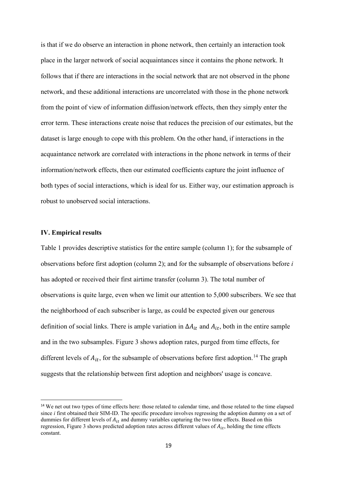is that if we do observe an interaction in phone network, then certainly an interaction took place in the larger network of social acquaintances since it contains the phone network. It follows that if there are interactions in the social network that are not observed in the phone network, and these additional interactions are uncorrelated with those in the phone network from the point of view of information diffusion/network effects, then they simply enter the error term. These interactions create noise that reduces the precision of our estimates, but the dataset is large enough to cope with this problem. On the other hand, if interactions in the acquaintance network are correlated with interactions in the phone network in terms of their information/network effects, then our estimated coefficients capture the joint influence of both types of social interactions, which is ideal for us. Either way, our estimation approach is robust to unobserved social interactions.

## **IV. Empirical results**

Table 1 provides descriptive statistics for the entire sample (column 1); for the subsample of observations before first adoption (column 2); and for the subsample of observations before *i* has adopted or received their first airtime transfer (column 3). The total number of observations is quite large, even when we limit our attention to 5,000 subscribers. We see that the neighborhood of each subscriber is large, as could be expected given our generous definition of social links. There is ample variation in  $\Delta A_{it}$  and  $A_{it}$ , both in the entire sample and in the two subsamples. Figure 3 shows adoption rates, purged from time effects, for different levels of  $A_{it}$ , for the subsample of observations before first adoption.<sup>[14](#page-18-0)</sup> The graph suggests that the relationship between first adoption and neighbors' usage is concave.

<span id="page-18-0"></span><sup>&</sup>lt;sup>14</sup> We net out two types of time effects here: those related to calendar time, and those related to the time elapsed since *i* first obtained their SIM-ID. The specific procedure involves regressing the adoption dummy on a set of dummies for different levels of  $A_{it}$  and dummy variables capturing the two time effects. Based on this regression, Figure 3 shows predicted adoption rates across different values of  $A_{it}$ , holding the time effects constant.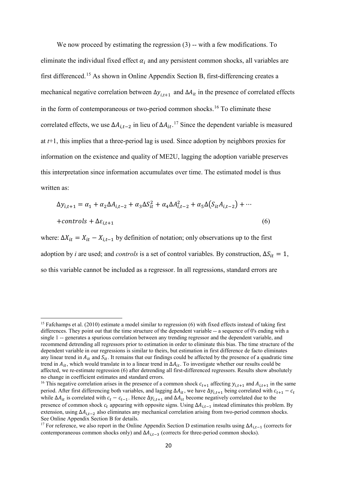We now proceed by estimating the regression  $(3)$  -- with a few modifications. To eliminate the individual fixed effect  $\alpha_i$  and any persistent common shocks, all variables are first differenced.[15](#page-19-0) As shown in Online Appendix Section B, first-differencing creates a mechanical negative correlation between  $\Delta y_{i,t+1}$  and  $\Delta A_{it}$  in the presence of correlated effects in the form of contemporaneous or two-period common shocks.[16](#page-19-1) To eliminate these correlated effects, we use  $\Delta A_{i,t-2}$  in lieu of  $\Delta A_{it}$ .<sup>[17](#page-19-2)</sup> Since the dependent variable is measured at *t*+1, this implies that a three-period lag is used. Since adoption by neighbors proxies for information on the existence and quality of ME2U, lagging the adoption variable preserves this interpretation since information accumulates over time. The estimated model is thus written as:

$$
\Delta y_{i,t+1} = \alpha_1 + \alpha_2 \Delta A_{i,t-2} + \alpha_3 \Delta S_{it}^2 + \alpha_4 \Delta A_{i,t-2}^2 + \alpha_5 \Delta (S_{it} A_{i,t-2}) + \cdots
$$
  
+*controls* +  $\Delta \varepsilon_{i,t+1}$  (6)

where:  $\Delta X_{it} = X_{it} - X_{i,t-1}$  by definition of notation; only observations up to the first adoption by *i* are used; and *controls* is a set of control variables. By construction,  $\Delta S_{it} = 1$ , so this variable cannot be included as a regressor. In all regressions, standard errors are

**.** 

<span id="page-19-0"></span><sup>&</sup>lt;sup>15</sup> Fafchamps et al. (2010) estimate a model similar to regression (6) with fixed effects instead of taking first differences. They point out that the time structure of the dependent variable -- a sequence of 0's ending with a single 1 -- generates a spurious correlation between any trending regressor and the dependent variable, and recommend detrending all regressors prior to estimation in order to eliminate this bias. The time structure of the dependent variable in our regressions is similar to theirs, but estimation in first difference de facto eliminates any linear trend in  $A_{it}$  and  $S_{it}$ . It remains that our findings could be affected by the presence of a quadratic time trend in  $A_{it}$ , which would translate in to a linear trend in  $\Delta A_{it}$ . To investigate whether our results could be affected, we re-estimate regression (6) after detrending all first-differenced regressors. Results show absolutely no change in coefficient estimates and standard errors.

<span id="page-19-1"></span><sup>&</sup>lt;sup>16</sup> This negative correlation arises in the presence of a common shock  $c_{t+1}$  affecting  $y_{i,t+1}$  and  $A_{i,t+1}$  in the same period. After first differencing both variables, and lagging  $\Delta A_{it}$ , we have  $\Delta y_{i,t+1}$  being correlated with  $c_{t+1} - c_t$ while  $\Delta A_{it}$  is correlated with  $c_t - c_{t-1}$ . Hence  $\Delta y_{i,t+1}$  and  $\Delta A_{it}$  become negatively correlated due to the presence of common shock  $c_t$  appearing with opposite signs. Using  $\Delta A_{i,t-1}$  instead eliminates this problem. By extension, using  $\Delta A_{i,t-2}$  also eliminates any mechanical correlation arising from two-period common shocks. See Online Appendix Section B for details.

<span id="page-19-2"></span><sup>&</sup>lt;sup>17</sup> For reference, we also report in the Online Appendix Section D estimation results using  $\Delta A_{i,t-1}$  (corrects for contemporaneous common shocks only) and  $\Delta A_{i,t-3}$  (corrects for three-period common shocks).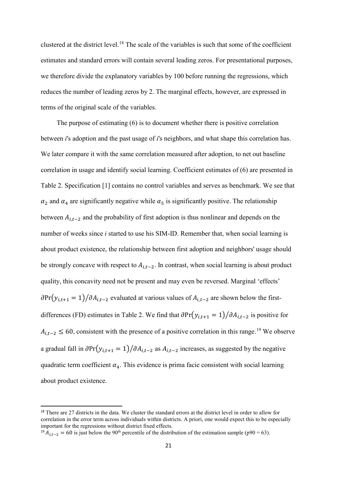clustered at the district level.[18](#page-20-0) The scale of the variables is such that some of the coefficient estimates and standard errors will contain several leading zeros. For presentational purposes, we therefore divide the explanatory variables by 100 before running the regressions, which reduces the number of leading zeros by 2. The marginal effects, however, are expressed in terms of the original scale of the variables.

The purpose of estimating (6) is to document whether there is positive correlation between *i*'s adoption and the past usage of *i*'s neighbors, and what shape this correlation has. We later compare it with the same correlation measured after adoption, to net out baseline correlation in usage and identify social learning. Coefficient estimates of (6) are presented in Table 2. Specification [1] contains no control variables and serves as benchmark. We see that  $\alpha_2$  and  $\alpha_4$  are significantly negative while  $\alpha_5$  is significantly positive. The relationship between  $A_{i,t-2}$  and the probability of first adoption is thus nonlinear and depends on the number of weeks since *i* started to use his SIM-ID. Remember that, when social learning is about product existence, the relationship between first adoption and neighbors' usage should be strongly concave with respect to  $A_{i,t-2}$ . In contrast, when social learning is about product quality, this concavity need not be present and may even be reversed. Marginal 'effects'  $\partial Pr(y_{i,t+1} = 1)/\partial A_{i,t-2}$  evaluated at various values of  $A_{i,t-2}$  are shown below the firstdifferences (FD) estimates in Table 2. We find that  $\partial Pr(y_{i,t+1} = 1)/\partial A_{i,t-2}$  is positive for  $A_{i,t-2} \leq 60$ , consistent with the presence of a positive correlation in this range.<sup>[19](#page-20-1)</sup> We observe a gradual fall in  $\partial Pr(y_{i,t+1} = 1)/\partial A_{i,t-2}$  as  $A_{i,t-2}$  increases, as suggested by the negative quadratic term coefficient  $\alpha_4$ . This evidence is prima facie consistent with social learning about product existence.

<span id="page-20-0"></span><sup>&</sup>lt;sup>18</sup> There are 27 districts in the data. We cluster the standard errors at the district level in order to allow for correlation in the error term across individuals within districts. A priori, one would expect this to be especially important for the regressions without district fixed effects.

<span id="page-20-1"></span><sup>&</sup>lt;sup>19</sup>  $A_{i,t-2} = 60$  is just below the 90<sup>th</sup> percentile of the distribution of the estimation sample (p90 = 63).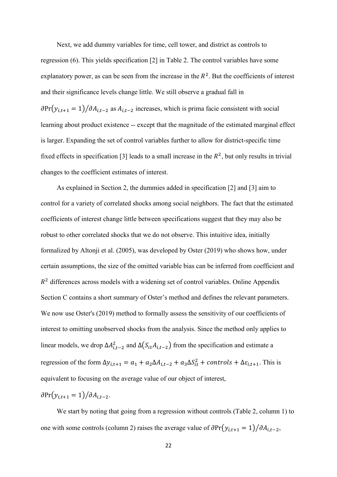Next, we add dummy variables for time, cell tower, and district as controls to regression (6). This yields specification [2] in Table 2. The control variables have some explanatory power, as can be seen from the increase in the  $R^2$ . But the coefficients of interest and their significance levels change little. We still observe a gradual fall in  $\partial Pr(y_{i,t+1} = 1)/\partial A_{i,t-2}$  as  $A_{i,t-2}$  increases, which is prima facie consistent with social learning about product existence -- except that the magnitude of the estimated marginal effect is larger. Expanding the set of control variables further to allow for district-specific time fixed effects in specification [3] leads to a small increase in the  $R^2$ , but only results in trivial changes to the coefficient estimates of interest.

As explained in Section 2, the dummies added in specification [2] and [3] aim to control for a variety of correlated shocks among social neighbors. The fact that the estimated coefficients of interest change little between specifications suggest that they may also be robust to other correlated shocks that we do not observe. This intuitive idea, initially formalized by Altonji et al. (2005), was developed by Oster (2019) who shows how, under certain assumptions, the size of the omitted variable bias can be inferred from coefficient and  $R<sup>2</sup>$  differences across models with a widening set of control variables. Online Appendix Section C contains a short summary of Oster's method and defines the relevant parameters. We now use Oster's (2019) method to formally assess the sensitivity of our coefficients of interest to omitting unobserved shocks from the analysis. Since the method only applies to linear models, we drop  $\Delta A_{i,t-2}^2$  and  $\Delta(S_{it}A_{i,t-2})$  from the specification and estimate a regression of the form  $\Delta y_{i,t+1} = a_1 + a_2 \Delta A_{i,t-2} + a_3 \Delta S_{it}^2 + controls + \Delta \varepsilon_{i,t+1}$ . This is equivalent to focusing on the average value of our object of interest,

 $\partial Pr(y_{i,t+1} = 1)/\partial A_{i,t-2}$ .

We start by noting that going from a regression without controls (Table 2, column 1) to one with some controls (column 2) raises the average value of  $\partial Pr(y_{i,t+1} = 1)/\partial A_{i,t-2}$ ,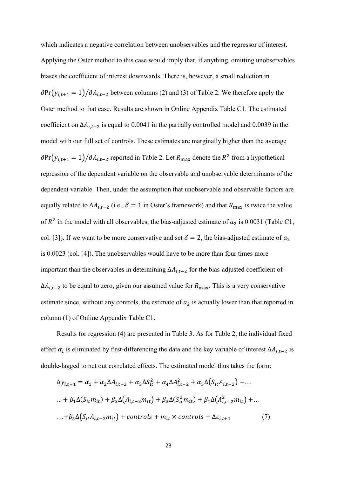which indicates a negative correlation between unobservables and the regressor of interest. Applying the Oster method to this case would imply that, if anything, omitting unobservables biases the coefficient of interest downwards. There is, however, a small reduction in  $\partial Pr(y_{i,t+1} = 1)/\partial A_{i,t-2}$  between columns (2) and (3) of Table 2. We therefore apply the Oster method to that case. Results are shown in Online Appendix Table C1. The estimated coefficient on  $\Delta A_{i,t-2}$  is equal to 0.0041 in the partially controlled model and 0.0039 in the model with our full set of controls. These estimates are marginally higher than the average  $\partial Pr(y_{i,t+1} = 1)/\partial A_{i,t-2}$  reported in Table 2. Let  $R_{\text{max}}$  denote the  $R^2$  from a hypothetical regression of the dependent variable on the observable and unobservable determinants of the dependent variable. Then, under the assumption that unobservable and observable factors are equally related to  $\Delta A_{i,t-2}$  (i.e.,  $\delta = 1$  in Oster's framework) and that  $R_{\text{max}}$  is twice the value of  $R^2$  in the model with all observables, the bias-adjusted estimate of  $a_2$  is 0.0031 (Table C1, col. [3]). If we want to be more conservative and set  $\delta = 2$ , the bias-adjusted estimate of  $a_2$ is 0.0023 (col. [4]). The unobservables would have to be more than four times more important than the observables in determining  $\Delta A_{i,t-2}$  for the bias-adjusted coefficient of  $\Delta A_{i,t-2}$  to be equal to zero, given our assumed value for  $R_{\text{max}}$ . This is a very conservative estimate since, without any controls, the estimate of  $a_2$  is actually lower than that reported in column (1) of Online Appendix Table C1.

Results for regression (4) are presented in Table 3. As for Table 2, the individual fixed effect  $\alpha_i$  is eliminated by first-differencing the data and the key variable of interest  $\Delta A_{i,t-2}$  is double-lagged to net out correlated effects. The estimated model thus takes the form:

$$
\Delta y_{i,t+1} = \alpha_1 + \alpha_2 \Delta A_{i,t-2} + \alpha_3 \Delta S_{it}^2 + \alpha_4 \Delta A_{i,t-2}^2 + \alpha_5 \Delta (S_{it} A_{i,t-2}) + ...
$$
  
\n
$$
\dots + \beta_1 \Delta (S_{it} m_{it}) + \beta_2 \Delta (A_{i,t-2} m_{it}) + \beta_3 \Delta (S_{it}^2 m_{it}) + \beta_4 \Delta (A_{i,t-2}^2 m_{it}) + ...
$$
  
\n
$$
\dots + \beta_5 \Delta (S_{it} A_{i,t-2} m_{it}) + controls + m_{it} \times controls + \Delta \varepsilon_{i,t+1}
$$
 (7)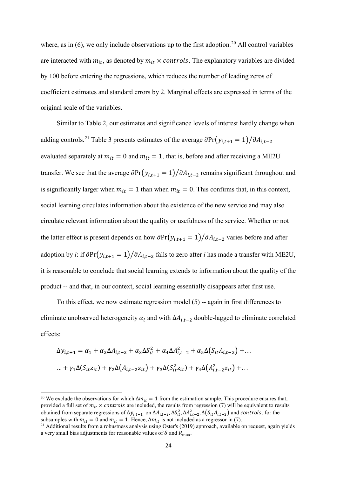where, as in  $(6)$ , we only include observations up to the first adoption.<sup>[20](#page-23-0)</sup> All control variables are interacted with  $m_{it}$ , as denoted by  $m_{it} \times controls$ . The explanatory variables are divided by 100 before entering the regressions, which reduces the number of leading zeros of coefficient estimates and standard errors by 2. Marginal effects are expressed in terms of the original scale of the variables.

Similar to Table 2, our estimates and significance levels of interest hardly change when adding controls.<sup>[21](#page-23-1)</sup> Table 3 presents estimates of the average  $\partial Pr(y_{i,t+1} = 1)/\partial A_{i,t-2}$ evaluated separately at  $m_{it} = 0$  and  $m_{it} = 1$ , that is, before and after receiving a ME2U transfer. We see that the average  $\partial Pr(y_{i,t+1} = 1)/\partial A_{i,t-2}$  remains significant throughout and is significantly larger when  $m_{it} = 1$  than when  $m_{it} = 0$ . This confirms that, in this context, social learning circulates information about the existence of the new service and may also circulate relevant information about the quality or usefulness of the service. Whether or not the latter effect is present depends on how  $\partial Pr(y_{i,t+1} = 1)/\partial A_{i,t-2}$  varies before and after adoption by *i*: if  $\partial Pr(y_{i,t+1} = 1)/\partial A_{i,t-2}$  falls to zero after *i* has made a transfer with ME2U, it is reasonable to conclude that social learning extends to information about the quality of the product -- and that, in our context, social learning essentially disappears after first use.

To this effect, we now estimate regression model  $(5)$  -- again in first differences to eliminate unobserved heterogeneity  $\alpha_i$  and with  $\Delta A_{i,t-2}$  double-lagged to eliminate correlated effects:

$$
\Delta y_{i,t+1} = \alpha_1 + \alpha_2 \Delta A_{i,t-2} + \alpha_3 \Delta S_{it}^2 + \alpha_4 \Delta A_{i,t-2}^2 + \alpha_5 \Delta (S_{it} A_{i,t-2}) + \dots
$$
  
 
$$
\dots + \gamma_1 \Delta (S_{it} z_{it}) + \gamma_2 \Delta (A_{i,t-2} z_{it}) + \gamma_3 \Delta (S_{it}^2 z_{it}) + \gamma_4 \Delta (A_{i,t-2}^2 z_{it}) + \dots
$$

**.** 

<span id="page-23-0"></span><sup>&</sup>lt;sup>20</sup> We exclude the observations for which  $\Delta m_{it} = 1$  from the estimation sample. This procedure ensures that, provided a full set of  $m_{it} \times controls$  are included, the results from regression (7) will be equivalent to results obtained from separate regressions of  $\Delta y_{i,t+1}$  on  $\Delta A_{i,t-2}$ ,  $\Delta S_{it}^2$ ,  $\Delta A_{i,t-2}^2$ ,  $\Delta(S_{it}A_{i,t-2})$  and controls, for the subsamples with  $m_{it} = 0$  and  $m_{it} = 1$ . Hence,  $\Delta m_{it}$  is not included as a regressor in (7).<br><sup>21</sup> Additional results from a robustness analysis using Oster's (2019) approach, available on request, again yields

<span id="page-23-1"></span>a very small bias adjustments for reasonable values of  $\delta$  and  $R_{\text{max}}$ .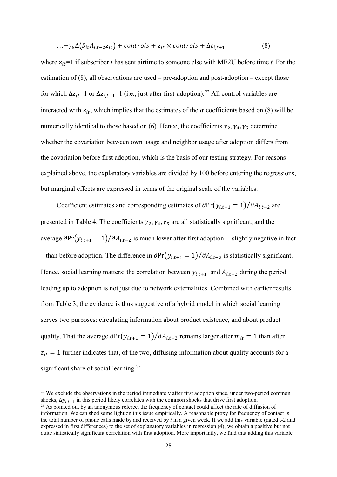$$
\ldots + \gamma_5 \Delta (S_{it} A_{i,t-2} z_{it}) + controls + z_{it} \times controls + \Delta \varepsilon_{i,t+1} \tag{8}
$$

where  $z_{it}$ =1 if subscriber *i* has sent airtime to someone else with ME2U before time *t*. For the estimation of  $(8)$ , all observations are used – pre-adoption and post-adoption – except those for which  $\Delta z_{it}$ =1 or  $\Delta z_{i,t-1}$ =1 (i.e., just after first-adoption).<sup>[22](#page-24-0)</sup> All control variables are interacted with  $z_{it}$ , which implies that the estimates of the  $\alpha$  coefficients based on (8) will be numerically identical to those based on (6). Hence, the coefficients  $\gamma_2$ ,  $\gamma_4$ ,  $\gamma_5$  determine whether the covariation between own usage and neighbor usage after adoption differs from the covariation before first adoption, which is the basis of our testing strategy. For reasons explained above, the explanatory variables are divided by 100 before entering the regressions, but marginal effects are expressed in terms of the original scale of the variables.

Coefficient estimates and corresponding estimates of  $\partial Pr(y_{i,t+1} = 1)/\partial A_{i,t-2}$  are presented in Table 4. The coefficients  $\gamma_2$ ,  $\gamma_4$ ,  $\gamma_5$  are all statistically significant, and the average  $\partial Pr(y_{i,t+1} = 1)/\partial A_{i,t-2}$  is much lower after first adoption -- slightly negative in fact – than before adoption. The difference in  $\partial Pr(y_{i,t+1} = 1)/\partial A_{i,t-2}$  is statistically significant. Hence, social learning matters: the correlation between  $y_{i,t+1}$  and  $A_{i,t-2}$  during the period leading up to adoption is not just due to network externalities. Combined with earlier results from Table 3, the evidence is thus suggestive of a hybrid model in which social learning serves two purposes: circulating information about product existence, and about product quality. That the average  $\partial Pr(y_{i,t+1} = 1) / \partial A_{i,t-2}$  remains larger after  $m_{it} = 1$  than after  $z_{it} = 1$  further indicates that, of the two, diffusing information about quality accounts for a significant share of social learning.<sup>[23](#page-24-1)</sup>

**.** 

<span id="page-24-0"></span><sup>&</sup>lt;sup>22</sup> We exclude the observations in the period immediately after first adoption since, under two-period common shocks,  $\Delta y_{i,t+1}$  in this period likely correlates with the common shocks that drive first adoption.<br><sup>23</sup> As pointed out by an anonymous referee, the frequency of contact could affect the rate of diffusion of

<span id="page-24-1"></span>information. We can shed some light on this issue empirically. A reasonable proxy for frequency of contact is the total number of phone calls made by and received by *i* in a given week. If we add this variable (dated t-2 and expressed in first differences) to the set of explanatory variables in regression (4), we obtain a positive but not quite statistically significant correlation with first adoption. More importantly, we find that adding this variable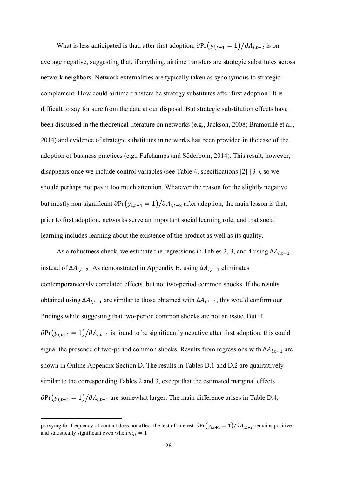What is less anticipated is that, after first adoption,  $\partial Pr(y_{i,t+1} = 1)/\partial A_{i,t-2}$  is on average negative, suggesting that, if anything, airtime transfers are strategic substitutes across network neighbors. Network externalities are typically taken as synonymous to strategic complement. How could airtime transfers be strategy substitutes after first adoption? It is difficult to say for sure from the data at our disposal. But strategic substitution effects have been discussed in the theoretical literature on networks (e.g., Jackson, 2008; Bramoullé et al., 2014) and evidence of strategic substitutes in networks has been provided in the case of the adoption of business practices (e.g., Fafchamps and Söderbom, 2014). This result, however, disappears once we include control variables (see Table 4, specifications [2]-[3]), so we should perhaps not pay it too much attention. Whatever the reason for the slightly negative but mostly non-significant  $\partial Pr(y_{i,t+1} = 1) / \partial A_{i,t-2}$  after adoption, the main lesson is that, prior to first adoption, networks serve an important social learning role, and that social learning includes learning about the existence of the product as well as its quality.

As a robustness check, we estimate the regressions in Tables 2, 3, and 4 using  $\Delta A_{i,t-1}$ instead of  $\Delta A_{i,t-2}$ . As demonstrated in Appendix B, using  $\Delta A_{i,t-1}$  eliminates contemporaneously correlated effects, but not two-period common shocks. If the results obtained using  $\Delta A_{i,t-1}$  are similar to those obtained with  $\Delta A_{i,t-2}$ , this would confirm our findings while suggesting that two-period common shocks are not an issue. But if  $\partial Pr(y_{i,t+1} = 1)/\partial A_{i,t-1}$  is found to be significantly negative after first adoption, this could signal the presence of two-period common shocks. Results from regressions with  $\Delta A_{i,t-1}$  are shown in Online Appendix Section D. The results in Tables D.1 and D.2 are qualitatively similar to the corresponding Tables 2 and 3, except that the estimated marginal effects  $\partial Pr(y_{i,t+1} = 1)/\partial A_{i,t-1}$  are somewhat larger. The main difference arises in Table D.4,

 $\overline{a}$ 

proxying for frequency of contact does not affect the test of interest:  $\partial Pr(y_{i,t+1} = 1)/\partial A_{i,t-2}$  remains positive and statistically significant even when  $m_{it} = 1$ .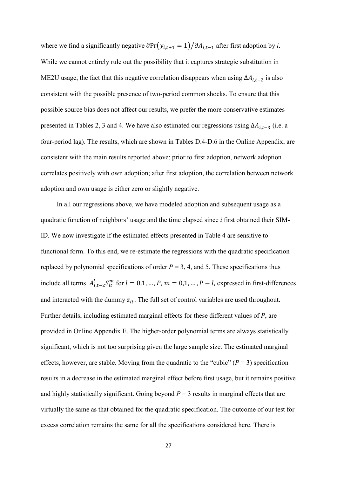where we find a significantly negative  $\frac{\partial \Pr(y_{i,t+1} = 1)}{\partial A_{i,t-1}}$  after first adoption by *i*. While we cannot entirely rule out the possibility that it captures strategic substitution in ME2U usage, the fact that this negative correlation disappears when using  $\Delta A_{i,t-2}$  is also consistent with the possible presence of two-period common shocks. To ensure that this possible source bias does not affect our results, we prefer the more conservative estimates presented in Tables 2, 3 and 4. We have also estimated our regressions using  $\Delta A_{i,t-3}$  (i.e. a four-period lag). The results, which are shown in Tables D.4-D.6 in the Online Appendix, are consistent with the main results reported above: prior to first adoption, network adoption correlates positively with own adoption; after first adoption, the correlation between network adoption and own usage is either zero or slightly negative.

In all our regressions above, we have modeled adoption and subsequent usage as a quadratic function of neighbors' usage and the time elapsed since *i* first obtained their SIM-ID. We now investigate if the estimated effects presented in Table 4 are sensitive to functional form. To this end, we re-estimate the regressions with the quadratic specification replaced by polynomial specifications of order  $P = 3$ , 4, and 5. These specifications thus include all terms  $A_{i,t-2}^l S_{it}^m$  for  $l = 0,1, ..., P, m = 0,1, ..., P - l$ , expressed in first-differences and interacted with the dummy  $z_{it}$ . The full set of control variables are used throughout. Further details, including estimated marginal effects for these different values of *P*, are provided in Online Appendix E. The higher-order polynomial terms are always statistically significant, which is not too surprising given the large sample size. The estimated marginal effects, however, are stable. Moving from the quadratic to the "cubic"  $(P = 3)$  specification results in a decrease in the estimated marginal effect before first usage, but it remains positive and highly statistically significant. Going beyond  $P = 3$  results in marginal effects that are virtually the same as that obtained for the quadratic specification. The outcome of our test for excess correlation remains the same for all the specifications considered here. There is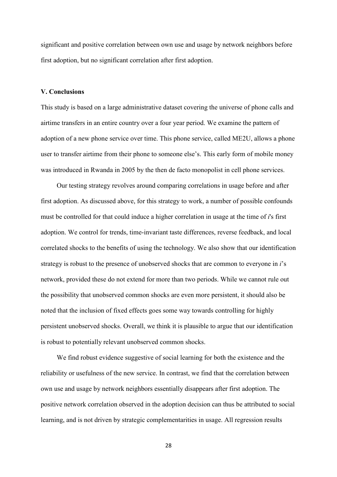significant and positive correlation between own use and usage by network neighbors before first adoption, but no significant correlation after first adoption.

#### **V. Conclusions**

This study is based on a large administrative dataset covering the universe of phone calls and airtime transfers in an entire country over a four year period. We examine the pattern of adoption of a new phone service over time. This phone service, called ME2U, allows a phone user to transfer airtime from their phone to someone else's. This early form of mobile money was introduced in Rwanda in 2005 by the then de facto monopolist in cell phone services.

Our testing strategy revolves around comparing correlations in usage before and after first adoption. As discussed above, for this strategy to work, a number of possible confounds must be controlled for that could induce a higher correlation in usage at the time of *i*'s first adoption. We control for trends, time-invariant taste differences, reverse feedback, and local correlated shocks to the benefits of using the technology. We also show that our identification strategy is robust to the presence of unobserved shocks that are common to everyone in *i*'s network, provided these do not extend for more than two periods. While we cannot rule out the possibility that unobserved common shocks are even more persistent, it should also be noted that the inclusion of fixed effects goes some way towards controlling for highly persistent unobserved shocks. Overall, we think it is plausible to argue that our identification is robust to potentially relevant unobserved common shocks.

We find robust evidence suggestive of social learning for both the existence and the reliability or usefulness of the new service. In contrast, we find that the correlation between own use and usage by network neighbors essentially disappears after first adoption. The positive network correlation observed in the adoption decision can thus be attributed to social learning, and is not driven by strategic complementarities in usage. All regression results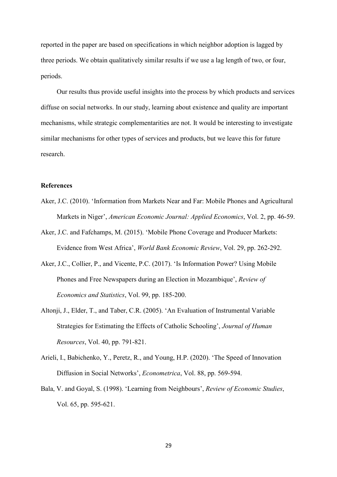reported in the paper are based on specifications in which neighbor adoption is lagged by three periods. We obtain qualitatively similar results if we use a lag length of two, or four, periods.

Our results thus provide useful insights into the process by which products and services diffuse on social networks. In our study, learning about existence and quality are important mechanisms, while strategic complementarities are not. It would be interesting to investigate similar mechanisms for other types of services and products, but we leave this for future research.

### **References**

- Aker, J.C. (2010). 'Information from Markets Near and Far: Mobile Phones and Agricultural Markets in Niger', *American Economic Journal: Applied Economics*, Vol. 2, pp. 46-59.
- Aker, J.C. and Fafchamps, M. (2015). 'Mobile Phone Coverage and Producer Markets: Evidence from West Africa', *World Bank Economic Review*, Vol. 29, pp. 262-292.
- Aker, J.C., Collier, P., and Vicente, P.C. (2017). 'Is Information Power? Using Mobile Phones and Free Newspapers during an Election in Mozambique', *Review of Economics and Statistics*, Vol. 99, pp. 185-200.
- Altonji, J., Elder, T., and Taber, C.R. (2005). 'An Evaluation of Instrumental Variable Strategies for Estimating the Effects of Catholic Schooling', *Journal of Human Resources*, Vol. 40, pp. 791-821.
- Arieli, I., Babichenko, Y., Peretz, R., and Young, H.P. (2020). 'The Speed of Innovation Diffusion in Social Networks', *Econometrica*, Vol. 88, pp. 569-594.
- Bala, V. and Goyal, S. (1998). 'Learning from Neighbours', *Review of Economic Studies*, Vol. 65, pp. 595-621.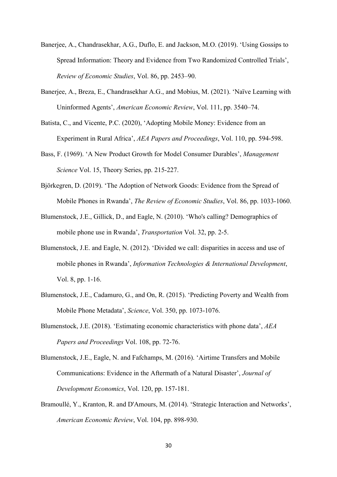- Banerjee, A., Chandrasekhar, A.G., Duflo, E. and Jackson, M.O. (2019). 'Using Gossips to Spread Information: Theory and Evidence from Two Randomized Controlled Trials', *Review of Economic Studies*, Vol. 86, pp. 2453–90.
- Banerjee, A., Breza, E., Chandrasekhar A.G., and Mobius, M. (2021). 'Naïve Learning with Uninformed Agents', *American Economic Review*, Vol. 111, pp. 3540–74.
- Batista, C., and Vicente, P.C. (2020), 'Adopting Mobile Money: Evidence from an Experiment in Rural Africa', *AEA Papers and Proceedings*, Vol. 110, pp. 594-598.
- Bass, F. (1969). 'A New Product Growth for Model Consumer Durables', *Management Science* Vol. 15, Theory Series, pp. 215-227.
- Björkegren, D. (2019). 'The Adoption of Network Goods: Evidence from the Spread of Mobile Phones in Rwanda', *The Review of Economic Studies*, Vol. 86, pp. 1033-1060.
- Blumenstock, J.E., Gillick, D., and Eagle, N. (2010). 'Who's calling? Demographics of mobile phone use in Rwanda', *Transportation* Vol. 32, pp. 2-5.
- Blumenstock, J.E. and Eagle, N. (2012). 'Divided we call: disparities in access and use of mobile phones in Rwanda', *Information Technologies & International Development*, Vol. 8, pp. 1-16.
- Blumenstock, J.E., Cadamuro, G., and On, R. (2015). 'Predicting Poverty and Wealth from Mobile Phone Metadata', *Science*, Vol. 350, pp. 1073-1076.
- Blumenstock, J.E. (2018). 'Estimating economic characteristics with phone data', *AEA Papers and Proceedings* Vol. 108, pp. 72-76.
- Blumenstock, J.E., Eagle, N. and Fafchamps, M. (2016). 'Airtime Transfers and Mobile Communications: Evidence in the Aftermath of a Natural Disaster', *Journal of Development Economics*, Vol. 120, pp. 157-181.
- Bramoullé, Y., Kranton, R. and D'Amours, M. (2014). 'Strategic Interaction and Networks', *American Economic Review*, Vol. 104, pp. 898-930.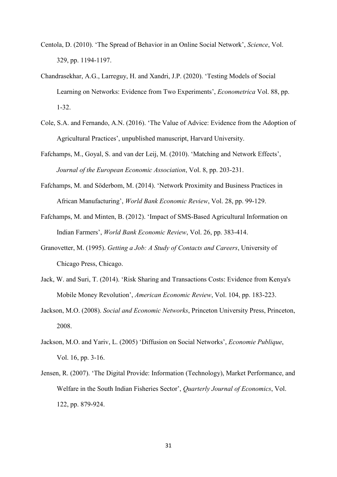- Centola, D. (2010). 'The Spread of Behavior in an Online Social Network', *Science*, Vol. 329, pp. 1194-1197.
- Chandrasekhar, A.G., Larreguy, H. and Xandri, J.P. (2020). 'Testing Models of Social Learning on Networks: Evidence from Two Experiments', *Econometrica* Vol. 88, pp. 1-32.
- Cole, S.A. and Fernando, A.N. (2016). 'The Value of Advice: Evidence from the Adoption of Agricultural Practices', unpublished manuscript, Harvard University.
- Fafchamps, M., Goyal, S. and van der Leij, M. (2010). 'Matching and Network Effects', *Journal of the European Economic Association*, Vol. 8, pp. 203-231.
- Fafchamps, M. and Söderbom, M. (2014). 'Network Proximity and Business Practices in African Manufacturing', *World Bank Economic Review*, Vol. 28, pp. 99-129.
- Fafchamps, M. and Minten, B. (2012). 'Impact of SMS-Based Agricultural Information on Indian Farmers', *World Bank Economic Review*, Vol. 26, pp. 383-414.
- Granovetter, M. (1995). *Getting a Job: A Study of Contacts and Careers*, University of Chicago Press, Chicago.
- Jack, W. and Suri, T. (2014). 'Risk Sharing and Transactions Costs: Evidence from Kenya's Mobile Money Revolution', *American Economic Review*, Vol. 104, pp. 183-223.
- Jackson, M.O. (2008). *Social and Economic Networks*, Princeton University Press, Princeton, 2008.
- Jackson, M.O. and Yariv, L. (2005) 'Diffusion on Social Networks', *Economie Publique*, Vol. 16, pp. 3-16.
- Jensen, R. (2007). 'The Digital Provide: Information (Technology), Market Performance, and Welfare in the South Indian Fisheries Sector', *Quarterly Journal of Economics*, Vol. 122, pp. 879-924.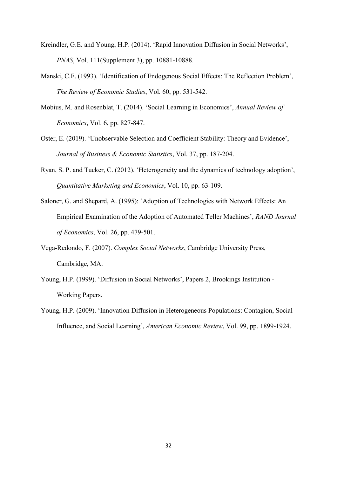- Kreindler, G.E. and Young, H.P. (2014). 'Rapid Innovation Diffusion in Social Networks', *PNAS*, Vol. 111(Supplement 3), pp. 10881-10888.
- Manski, C.F. (1993). 'Identification of Endogenous Social Effects: The Reflection Problem', *The Review of Economic Studies*, Vol. 60, pp. 531-542.
- Mobius, M. and Rosenblat, T. (2014). 'Social Learning in Economics', *Annual Review of Economics*, Vol. 6, pp. 827-847.
- Oster, E. (2019). 'Unobservable Selection and Coefficient Stability: Theory and Evidence', *Journal of Business & Economic Statistics*, Vol. 37, pp. 187-204.
- Ryan, S. P. and Tucker, C. (2012). 'Heterogeneity and the dynamics of technology adoption', *Quantitative Marketing and Economics*, Vol. 10, pp. 63-109.
- Saloner, G. and Shepard, A. (1995): 'Adoption of Technologies with Network Effects: An Empirical Examination of the Adoption of Automated Teller Machines', *RAND Journal of Economics*, Vol. 26, pp. 479-501.
- Vega-Redondo, F. (2007). *Complex Social Networks*, Cambridge University Press, Cambridge, MA.
- Young, H.P. (1999). 'Diffusion in Social Networks', Papers 2, Brookings Institution Working Papers.
- Young, H.P. (2009). 'Innovation Diffusion in Heterogeneous Populations: Contagion, Social Influence, and Social Learning', *American Economic Review*, Vol. 99, pp. 1899-1924.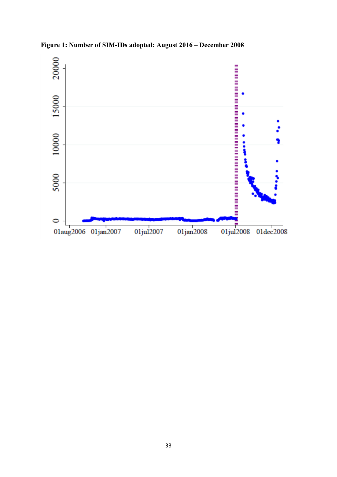

**Figure 1: Number of SIM-IDs adopted: August 2016 – December 2008**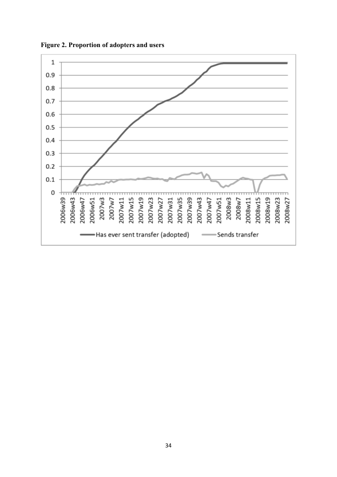

**Figure 2. Proportion of adopters and users**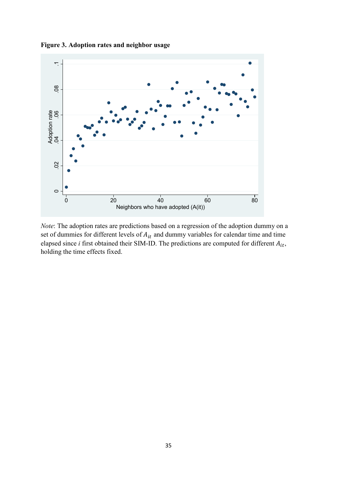

**Figure 3. Adoption rates and neighbor usage**

*Note*: The adoption rates are predictions based on a regression of the adoption dummy on a set of dummies for different levels of  $A_{it}$  and dummy variables for calendar time and time elapsed since  $i$  first obtained their SIM-ID. The predictions are computed for different  $A_{it}$ , holding the time effects fixed.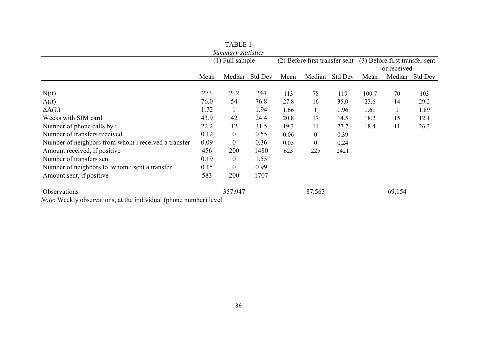|                                                                                                                                                                                                                                                                                                                                                                                      |                   | Summary statistics |                |      |          |                                                                              |       |        |                |
|--------------------------------------------------------------------------------------------------------------------------------------------------------------------------------------------------------------------------------------------------------------------------------------------------------------------------------------------------------------------------------------|-------------------|--------------------|----------------|------|----------|------------------------------------------------------------------------------|-------|--------|----------------|
|                                                                                                                                                                                                                                                                                                                                                                                      | $(1)$ Full sample |                    |                |      |          | (2) Before first transfer sent (3) Before first transfer sent<br>or received |       |        |                |
|                                                                                                                                                                                                                                                                                                                                                                                      | Mean              | Median             | <b>Std Dev</b> | Mean | Median   | <b>Std Dev</b>                                                               | Mean  |        | Median Std Dev |
| N(it)                                                                                                                                                                                                                                                                                                                                                                                | 273               | 212                | 244            | 113  | 78       | 119                                                                          | 100.7 | 70     | 103            |
| A(it)                                                                                                                                                                                                                                                                                                                                                                                | 76.0              | 54                 | 76.8           | 27.8 | 16       | 35.0                                                                         | 23.6  | 14     | 29.2           |
| $\Delta A(it)$                                                                                                                                                                                                                                                                                                                                                                       | 1.72              | $\mathbf{1}$       | 1.94           | 1.66 |          | 1.96                                                                         | 1.61  |        | 1.89           |
| Weeks with SIM card                                                                                                                                                                                                                                                                                                                                                                  | 43.9              | 42                 | 24.4           | 20.8 | 17       | 14.5                                                                         | 18.2  | 15     | 12.1           |
| Number of phone calls by i                                                                                                                                                                                                                                                                                                                                                           | 22.2              | 12                 | 31.5           | 19.3 | 11       | 27.7                                                                         | 18.4  | 11     | 26.3           |
| Number of transfers received                                                                                                                                                                                                                                                                                                                                                         | 0.12              | $\overline{0}$     | 0.55           | 0.06 | $\theta$ | 0.39                                                                         |       |        |                |
| Number of neighbors from whom i received a transfer                                                                                                                                                                                                                                                                                                                                  | 0.09              | $\overline{0}$     | 0.36           | 0.05 | $\theta$ | 0.24                                                                         |       |        |                |
| Amount received, if positive                                                                                                                                                                                                                                                                                                                                                         | 456               | 200                | 1480           | 623  | 225      | 2421                                                                         |       |        |                |
| Number of transfers sent                                                                                                                                                                                                                                                                                                                                                             | 0.19              | $\overline{0}$     | 1.55           |      |          |                                                                              |       |        |                |
| Number of neighbors to whom i sent a transfer                                                                                                                                                                                                                                                                                                                                        | 0.15              | $\overline{0}$     | 0.99           |      |          |                                                                              |       |        |                |
| Amount sent, if positive                                                                                                                                                                                                                                                                                                                                                             | 583               | 200                | 1707           |      |          |                                                                              |       |        |                |
| Observations<br>$\ddot{ }$ $\ddot{ }$ $\ddot{ }$ $\ddot{ }$ $\ddot{ }$ $\ddot{ }$ $\ddot{ }$ $\ddot{ }$ $\ddot{ }$ $\ddot{ }$ $\ddot{ }$ $\ddot{ }$ $\ddot{ }$ $\ddot{ }$ $\ddot{ }$ $\ddot{ }$ $\ddot{ }$ $\ddot{ }$ $\ddot{ }$ $\ddot{ }$ $\ddot{ }$ $\ddot{ }$ $\ddot{ }$ $\ddot{ }$ $\ddot{ }$ $\ddot{ }$ $\ddot{ }$ $\ddot{$<br>$\cdot$ .<br>$37.7$ $377.4$<br>$\sim$ $\sim$ 1. | $1 \times 1$      | 357,947            |                |      | 87,563   |                                                                              |       | 69,154 |                |

TABLE 1

*Note*: Weekly observations, at the individual (phone number) level.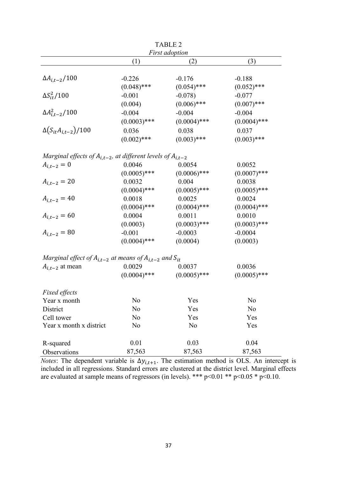|                                                                      | <b>First adoption</b> |                |                |  |  |  |
|----------------------------------------------------------------------|-----------------------|----------------|----------------|--|--|--|
|                                                                      | (1)                   | (2)            | (3)            |  |  |  |
|                                                                      |                       |                |                |  |  |  |
| $\Delta A_{i,t-2}/100$                                               | $-0.226$              | $-0.176$       | $-0.188$       |  |  |  |
|                                                                      | $(0.048)$ ***         | $(0.054)$ ***  | $(0.052)$ ***  |  |  |  |
| $\Delta S_{it}^2/100$                                                | $-0.001$              | $-0.078$       | $-0.077$       |  |  |  |
|                                                                      | (0.004)               | $(0.006)$ ***  | $(0.007)$ ***  |  |  |  |
| $\Delta A_{i,t-2}^2/100$                                             | $-0.004$              | $-0.004$       | $-0.004$       |  |  |  |
|                                                                      | $(0.0003)$ ***        | $(0.0004)$ *** | $(0.0004)$ *** |  |  |  |
| $\Delta(S_{it}A_{i,t-2})/100$                                        | 0.036                 | 0.038          | 0.037          |  |  |  |
|                                                                      | $(0.002)$ ***         | $(0.003)$ ***  | $(0.003)$ ***  |  |  |  |
| Marginal effects of $A_{i,t-2}$ , at different levels of $A_{i,t-2}$ |                       |                |                |  |  |  |
| $A_{i,t-2} = 0$                                                      | 0.0046                | 0.0054         | 0.0052         |  |  |  |
|                                                                      | $(0.0005)$ ***        | $(0.0006)$ *** | $(0.0007)$ *** |  |  |  |
| $A_{i,t-2} = 20$                                                     | 0.0032                | 0.004          | 0.0038         |  |  |  |
|                                                                      | $(0.0004)$ ***        | $(0.0005)$ *** | $(0.0005)$ *** |  |  |  |
| $A_{i,t-2} = 40$                                                     | 0.0018                | 0.0025         | 0.0024         |  |  |  |
|                                                                      | $(0.0004)$ ***        | $(0.0004)$ *** | $(0.0004)$ *** |  |  |  |
| $A_{i,t-2} = 60$                                                     | 0.0004                | 0.0011         | 0.0010         |  |  |  |
|                                                                      | (0.0003)              | $(0.0003)$ *** | $(0.0003)$ *** |  |  |  |
| $A_{i,t-2} = 80$                                                     | $-0.001$              | $-0.0003$      | $-0.0004$      |  |  |  |
|                                                                      | $(0.0004)$ ***        | (0.0004)       | (0.0003)       |  |  |  |
| Marginal effect of $A_{i,t-2}$ at means of $A_{i,t-2}$ and $S_{it}$  |                       |                |                |  |  |  |
| $A_{i,t-2}$ at mean                                                  | 0.0029                | 0.0037         | 0.0036         |  |  |  |
|                                                                      | $(0.0004)$ ***        | $(0.0005)$ *** | $(0.0005)$ *** |  |  |  |
| Fixed effects                                                        |                       |                |                |  |  |  |
| Year x month                                                         | No                    | Yes            | No             |  |  |  |
| District                                                             | No                    | Yes            | No             |  |  |  |
| Cell tower                                                           | No                    | Yes            | Yes            |  |  |  |
| Year x month x district                                              | No                    | N <sub>o</sub> | Yes            |  |  |  |
| R-squared                                                            | 0.01                  | 0.03           | 0.04           |  |  |  |
| Observations                                                         | 87,563                | 87,563         | 87,563         |  |  |  |

TABLE 2

*Notes*: The dependent variable is  $\Delta y_{i,t+1}$ . The estimation method is OLS. An intercept is included in all regressions. Standard errors are clustered at the district level. Marginal effects are evaluated at sample means of regressors (in levels). \*\*\* p<0.01 \*\* p<0.05 \* p<0.10.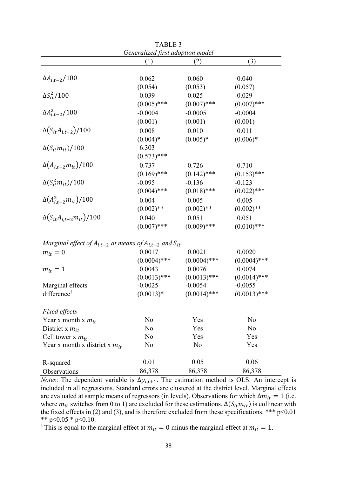|                                                                     | Generalized first adoption model |                |                |  |  |
|---------------------------------------------------------------------|----------------------------------|----------------|----------------|--|--|
|                                                                     | (1)                              | (2)            | (3)            |  |  |
|                                                                     |                                  |                |                |  |  |
| $\Delta A_{i,t-2}/100$                                              | 0.062                            | 0.060          | 0.040          |  |  |
|                                                                     | (0.054)                          | (0.053)        | (0.057)        |  |  |
| $\Delta S_{it}^2/100$                                               | 0.039                            | $-0.025$       | $-0.029$       |  |  |
|                                                                     | $(0.005)$ ***                    | $(0.007)$ ***  | $(0.007)$ ***  |  |  |
| $\Delta A_{i,t-2}^2/100$                                            | $-0.0004$                        | $-0.0005$      | $-0.0004$      |  |  |
|                                                                     | (0.001)                          | (0.001)        | (0.001)        |  |  |
| $\Delta(S_{it}A_{i,t-2})/100$                                       | 0.008                            | 0.010          | 0.011          |  |  |
|                                                                     | $(0.004)*$                       | $(0.005)*$     | $(0.006)*$     |  |  |
| $\Delta(S_{it}m_{it})/100$                                          | 6.303                            |                |                |  |  |
|                                                                     | $(0.573)$ ***                    |                |                |  |  |
| $\Delta(A_{i,t-2}m_{it})/100$                                       | $-0.737$                         | $-0.726$       | $-0.710$       |  |  |
|                                                                     | $(0.169)$ ***                    | $(0.142)$ ***  | $(0.153)$ ***  |  |  |
| $\Delta(S_{it}^2m_{it})/100$                                        | $-0.095$                         | $-0.136$       | $-0.123$       |  |  |
|                                                                     | $(0.004)$ ***                    | $(0.018)$ ***  | $(0.022)$ ***  |  |  |
| $\Delta(A_{i,t-2}^2 m_{it})/100$                                    | $-0.004$                         | $-0.005$       | $-0.005$       |  |  |
|                                                                     | $(0.002)$ **                     | $(0.002)$ **   | $(0.002)$ **   |  |  |
| $\Delta(S_{it}A_{i,t-2}m_{it})/100$                                 | 0.040                            | 0.051          | 0.051          |  |  |
|                                                                     | $(0.007)$ ***                    | $(0.009)$ ***  | $(0.010)$ ***  |  |  |
| Marginal effect of $A_{i,t-2}$ at means of $A_{i,t-2}$ and $S_{it}$ |                                  |                |                |  |  |
| $m_{it} = 0$                                                        | 0.0017                           | 0.0021         | 0.0020         |  |  |
|                                                                     | $(0.0004)$ ***                   | $(0.0004)$ *** | $(0.0004)$ *** |  |  |
| $m_{it} = 1$                                                        | 0.0043                           | 0.0076         | 0.0074         |  |  |
|                                                                     | $(0.0013)$ ***                   | $(0.0013)$ *** | $(0.0014)$ *** |  |  |
| Marginal effects                                                    | $-0.0025$                        | $-0.0054$      | $-0.0055$      |  |  |
| difference <sup>†</sup>                                             | $(0.0013)*$                      | $(0.0014)$ *** | $(0.0013)$ *** |  |  |
| Fixed effects                                                       |                                  |                |                |  |  |
| Year x month x $m_{it}$                                             | N <sub>o</sub>                   | Yes            | No             |  |  |
| District x $m_{it}$                                                 | No                               | Yes            | N <sub>o</sub> |  |  |
| Cell tower x $m_{it}$                                               | No                               | Yes            | Yes            |  |  |
| Year x month x district x $m_{it}$                                  | No                               | No             | Yes            |  |  |
| R-squared                                                           | 0.01                             | 0.05           | 0.06           |  |  |
| Observations                                                        | 86,378                           | 86,378         | 86,378         |  |  |

TABLE 3

*Notes*: The dependent variable is  $\Delta y_{i,t+1}$ . The estimation method is OLS. An intercept is included in all regressions. Standard errors are clustered at the district level. Marginal effects are evaluated at sample means of regressors (in levels). Observations for which  $\Delta m_{it} = 1$  (i.e. where  $m_{it}$  switches from 0 to 1) are excluded for these estimations.  $\Delta(S_{it}m_{it})$  is collinear with the fixed effects in (2) and (3), and is therefore excluded from these specifications. \*\*\*  $p<0.01$ \*\* p<0.05 \* p<0.10.

<sup>†</sup> This is equal to the marginal effect at  $m_{it} = 0$  minus the marginal effect at  $m_{it} = 1$ .